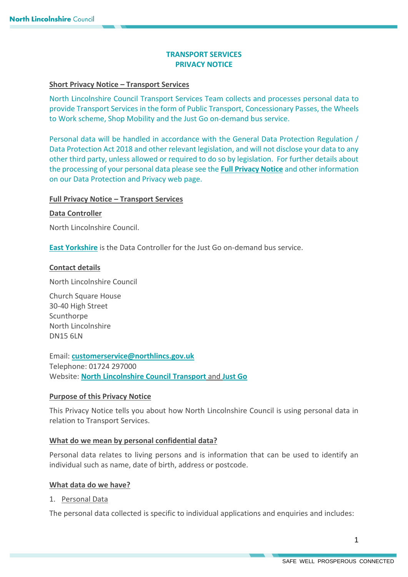# **TRANSPORT SERVICES PRIVACY NOTICE**

## **Short Privacy Notice – Transport Services**

North Lincolnshire Council Transport Services Team collects and processes personal data to provide Transport Services in the form of Public Transport, Concessionary Passes, the Wheels to Work scheme, Shop Mobility and the Just Go on-demand bus service.

Personal data will be handled in accordance with the General Data Protection Regulation / Data Protection Act 2018 and other relevant legislation, and will not disclose your data to any other third party, unless allowed or required to do so by legislation. For further details about the processing of your personal data please see the **[Full Privacy Notice](https://www.northlincs.gov.uk/your-council/about-your-council/information-and-performance/information-governance/data-protection-and-privacy/)** and other information on our Data Protection and Privacy web page.

### **Full Privacy Notice – Transport Services**

### **Data Controller**

North Lincolnshire Council.

**[East Yorkshire](https://www.justgonorthlincs.co.uk/privacy-policy)** is the Data Controller for the Just Go on-demand bus service.

### **Contact details**

North Lincolnshire Council

Church Square House 30-40 High Street **Scunthorpe** North Lincolnshire DN15 6LN

Email: **[customerservice@northlincs.gov.uk](mailto:customerservice@northlincs.gov.uk)** Telephone: 01724 297000 Website: **[North Lincolnshire Council Transport](https://www.northlincs.gov.uk/transport-and-streets/)** and **[Just Go](https://www.justgonorthlincs.co.uk/)**

#### **Purpose of this Privacy Notice**

This Privacy Notice tells you about how North Lincolnshire Council is using personal data in relation to Transport Services.

#### **What do we mean by personal confidential data?**

Personal data relates to living persons and is information that can be used to identify an individual such as name, date of birth, address or postcode.

#### **What data do we have?**

1. Personal Data

The personal data collected is specific to individual applications and enquiries and includes: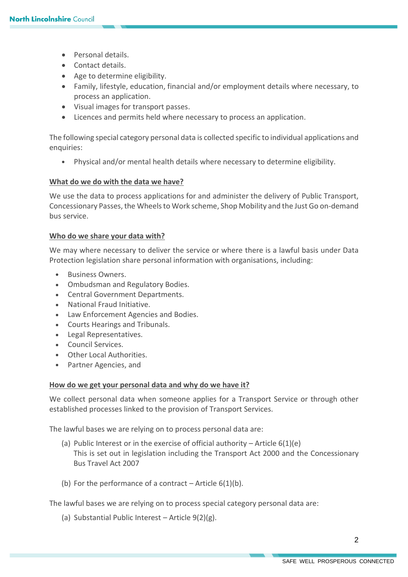- Personal details.
- **Contact details.**
- Age to determine eligibility.
- Family, lifestyle, education, financial and/or employment details where necessary, to process an application.
- Visual images for transport passes.
- Licences and permits held where necessary to process an application.

The following special category personal data is collected specific to individual applications and enquiries:

Physical and/or mental health details where necessary to determine eligibility.

# **What do we do with the data we have?**

We use the data to process applications for and administer the delivery of Public Transport, Concessionary Passes, the Wheels to Work scheme, Shop Mobility and the Just Go on-demand bus service.

# **Who do we share your data with?**

We may where necessary to deliver the service or where there is a lawful basis under Data Protection legislation share personal information with organisations, including:

- Business Owners.
- Ombudsman and Regulatory Bodies.
- Central Government Departments.
- National Fraud Initiative.
- Law Enforcement Agencies and Bodies.
- Courts Hearings and Tribunals.
- Legal Representatives.
- Council Services.
- Other Local Authorities.
- Partner Agencies, and

# **How do we get your personal data and why do we have it?**

We collect personal data when someone applies for a Transport Service or through other established processes linked to the provision of Transport Services.

The lawful bases we are relying on to process personal data are:

- (a) Public Interest or in the exercise of official authority Article  $6(1)(e)$ This is set out in legislation including the Transport Act 2000 and the Concessionary Bus Travel Act 2007
- (b) For the performance of a contract Article  $6(1)(b)$ .

The lawful bases we are relying on to process special category personal data are:

(a) Substantial Public Interest – Article  $9(2)(g)$ .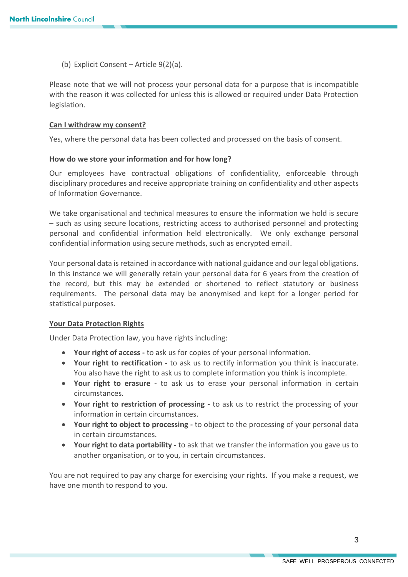(b) Explicit Consent – Article 9(2)(a).

Please note that we will not process your personal data for a purpose that is incompatible with the reason it was collected for unless this is allowed or required under Data Protection legislation.

### **Can I withdraw my consent?**

Yes, where the personal data has been collected and processed on the basis of consent.

#### **How do we store your information and for how long?**

Our employees have contractual obligations of confidentiality, enforceable through disciplinary procedures and receive appropriate training on confidentiality and other aspects of Information Governance.

We take organisational and technical measures to ensure the information we hold is secure – such as using secure locations, restricting access to authorised personnel and protecting personal and confidential information held electronically. We only exchange personal confidential information using secure methods, such as encrypted email.

Your personal data is retained in accordance with national guidance and our legal obligations. In this instance we will generally retain your personal data for 6 years from the creation of the record, but this may be extended or shortened to reflect statutory or business requirements. The personal data may be anonymised and kept for a longer period for statistical purposes.

# **Your Data Protection Rights**

Under Data Protection law, you have rights including:

- **Your right of access -** to ask us for copies of your personal information.
- **Your right to rectification -** to ask us to rectify information you think is inaccurate. You also have the right to ask us to complete information you think is incomplete.
- **Your right to erasure -** to ask us to erase your personal information in certain circumstances.
- **Your right to restriction of processing -** to ask us to restrict the processing of your information in certain circumstances.
- **Your right to object to processing -** to object to the processing of your personal data in certain circumstances.
- **Your right to data portability -** to ask that we transfer the information you gave us to another organisation, or to you, in certain circumstances.

You are not required to pay any charge for exercising your rights. If you make a request, we have one month to respond to you.